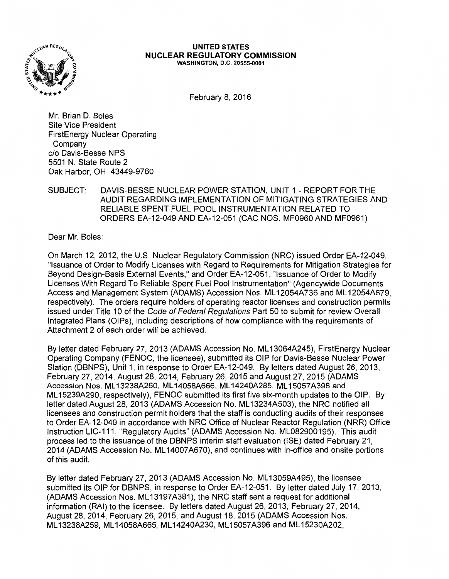

#### **UNITED STATES NUCLEAR REGULATORY COMMISSION**  WASHINGTON, D.C. 20555-0001

February 8, 2016

Mr. Brian D. Boles Site Vice President FirstEnergy Nuclear Operating Company c/o Davis-Besse NPS 5501 N. State Route 2 Oak Harbor, OH 43449-9760

## SUBJECT: DAVIS-BESSE NUCLEAR POWER STATION, UNIT 1 - REPORT FOR THE AUDIT REGARDING IMPLEMENTATION OF MITIGATING STRATEGIES AND RELIABLE SPENT FUEL POOL INSTRUMENTATION RELATED TO ORDERS EA-12-049 AND EA-12-051 (CAC NOS. MF0960 AND MF0961)

Dear Mr. Boles:

On March 12, 2012, the U.S. Nuclear Regulatory Commission (NRC) issued Order EA-12-049, "Issuance of Order to Modify Licenses with Regard to Requirements for Mitigation Strategies for Beyond Design-Basis External Events," and Order EA-12-051, "Issuance of Order to Modify Licenses With Regard To Reliable Spent Fuel Pool Instrumentation" (Agencywide Documents Access and Management System (ADAMS) Accession Nos. ML 12054A736 and ML 12054A679, respectively). The orders require holders of operating reactor licenses and construction permits issued under Title 10 of the Code of Federal Regulations Part 50 to submit for review Overall Integrated Plans (OIPs), including descriptions of how compliance with the requirements of Attachment 2 of each order will be achieved.

By letter dated February 27, 2013 (ADAMS Accession No. ML13064A245), FirstEnergy Nuclear Operating Company (FENOC, the licensee), submitted its OIP for Davis-Besse Nuclear Power Station (DBNPS), Unit 1, in response to Order EA-12-049. By letters dated August 26, 2013, February 27, 2014, August 28, 2014, February 26, 2015 and August 27, 2015 (ADAMS Accession Nos. ML 13238A260, ML 14058A666, ML 14240A285, ML 15057A398 and ML 15239A290, respectively), FENOC submitted its first five six-month updates to the OIP. By letter dated August 28, 2013 (ADAMS Accession No. ML13234A503), the NRC notified all licensees and construction permit holders that the staff is conducting audits of their responses to Order EA-12-049 in accordance with NRC Office of Nuclear Reactor Regulation (NRR) Office Instruction LIC-111, "Regulatory Audits" (ADAMS Accession No. ML082900195). This audit process led to the issuance of the DBNPS interim staff evaluation (ISE) dated February 21, 2014 (ADAMS Accession No. ML 14007A670), and continues with in-office and onsite portions of this audit.

By letter dated February 27, 2013 (ADAMS Accession No. ML 13059A495), the licensee submitted its OIP for DBNPS, in response to Order EA-12-051. By letter dated July 17, 2013, (ADAMS Accession Nos. ML 13197A381), the NRC staff sent a request for additional information (RAI) to the licensee. By letters dated August 26, 2013, February 27, 2014, August 28, 2014, February 26, 2015, and August 18, 2015 (ADAMS Accession Nos. ML 13238A259, ML 14058A665, ML 14240A230, ML 15057 A396 and ML 15230A202,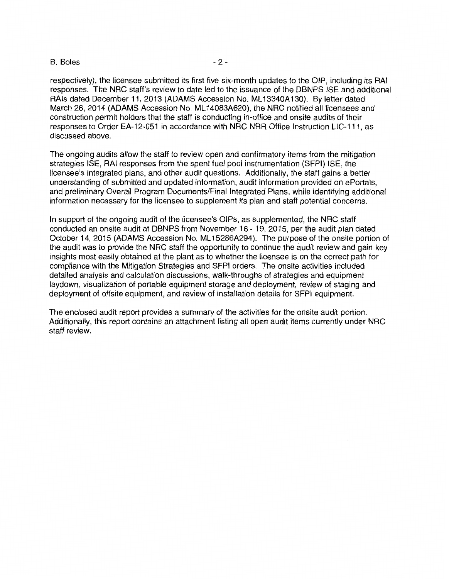#### B. Boles - 2 -

respectively), the licensee submitted its first five six-month updates to the OIP, including its RAI responses. The NRG staff's review to date led to the issuance of the DBNPS ISE and additional RAls dated December 11, 2013 (ADAMS Accession No. ML 13340A 130). By letter dated March 26, 2014 (ADAMS Accession No. ML 14083A620), the NRG notified all licensees and construction permit holders that the staff is conducting in-office and onsite audits of their responses to Order EA-12-051 in accordance with NRG NRR Office Instruction LIG-111, as discussed above.

The ongoing audits allow the staff to review open and confirmatory items from the mitigation strategies ISE, RAI responses from the spent fuel pool instrumentation (SFPI) ISE, the licensee's integrated plans, and other audit questions. Additionally, the staff gains a better understanding of submitted and updated information, audit information provided on ePortals, and preliminary Overall Program Documents/Final Integrated Plans, while identifying additional information necessary for the licensee to supplement its plan and staff potential concerns.

In support of the ongoing audit of the licensee's OIPs, as supplemented, the NRG staff conducted an onsite audit at DBNPS from November 16 - 19, 2015, per the audit plan dated October 14, 2015 (ADAMS Accession No. ML 15286A294). The purpose of the onsite portion of the audit was to provide the NRG staff the opportunity to continue the audit review and gain key insights most easily obtained at the plant as to whether the licensee is on the correct path for compliance with the Mitigation Strategies and SFPI orders. The onsite activities included detailed analysis and calculation discussions, walk-throughs of strategies and equipment laydown, visualization of portable equipment storage and deployment, review of staging and deployment of offsite equipment, and review of installation details for SFPI equipment.

The enclosed audit report provides a summary of the activities for the onsite audit portion. Additionally, this report contains an attachment listing all open audit items currently under NRG staff review.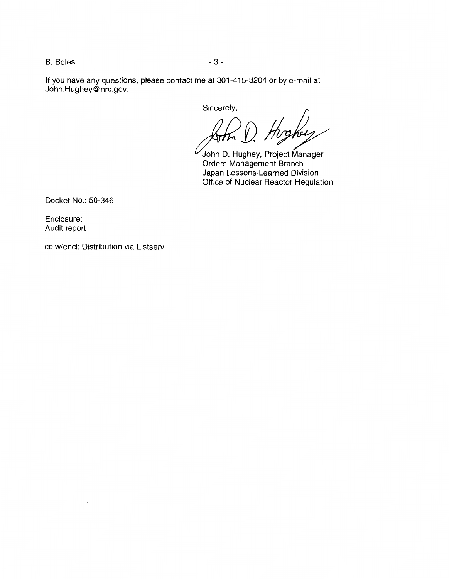B. Boles - 3 -

If you have any questions, please contact me at 301-415-3204 or by e-mail at John.Hughey@nrc.gov.

Sincerely,

Arm (). Hughey

Orders Management Branch Japan Lessons-Learned Division Office of Nuclear Reactor Regulation

Docket No.: 50-346

Enclosure: Audit report

cc w/encl: Distribution via Listserv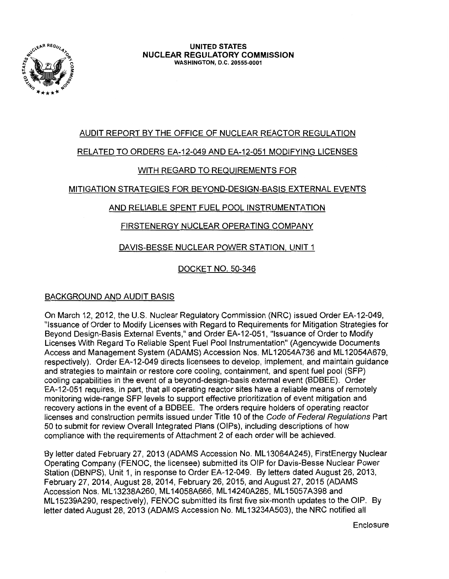

# AUDIT REPORT BY THE OFFICE OF NUCLEAR REACTOR REGULATION

## RELATED TO ORDERS EA-12-049 AND EA-12-051 MODIFYING LICENSES

## WITH REGARD TO REQUIREMENTS FOR

## MITIGATION STRATEGIES FOR BEYOND-DESIGN-BASIS EXTERNAL EVENTS

## AND RELIABLE SPENT FUEL POOL INSTRUMENTATION

## FIRSTENERGY NUCLEAR OPERATING COMPANY

## DAVIS-BESSE NUCLEAR POWER STATION. UNIT 1

## DOCKET NO. 50-346

## BACKGROUND AND AUDIT BASIS

On March 12, 2012, the U.S. Nuclear Regulatory Commission (NRC) issued Order EA-12-049, "Issuance of Order to Modify Licenses with Regard to Requirements for Mitigation Strategies for Beyond Design-Basis External Events," and Order EA-12-051, "Issuance of Order to Modify Licenses With Regard To Reliable Spent Fuel Pool Instrumentation" (Agencywide Documents Access and Management System (ADAMS) Accession Nos. ML 12054A736 and ML 12054A679, respectively). Order EA-12-049 directs licensees to develop, implement, and maintain guidance and strategies to maintain or restore core cooling, containment, and spent fuel pool (SFP) cooling capabilities in the event of a beyond-design-basis external event (BDBEE). Order EA-12-051 requires, in part, that all operating reactor sites have a reliable means of remotely monitoring wide-range SFP levels to support effective prioritization of event mitigation and recovery actions in the event of a BDBEE. The orders require holders of operating reactor licenses and construction permits issued under Title 10 of the Code of Federal Regulations Part 50 to submit for review Overall Integrated Plans (OIPs), including descriptions of how compliance with the requirements of Attachment 2 of each order will be achieved.

By letter dated February 27, 2013 (ADAMS Accession No. ML 13064A245), FirstEnergy Nuclear Operating Company (FENOC, the licensee) submitted its OIP for Davis-Besse Nuclear Power Station (DBNPS), Unit 1, in response to Order EA-12-049. By letters dated August 26, 2013, February 27, 2014, August 28, 2014, February 26, 2015, and August 27, 2015 (ADAMS Accession Nos. ML 13238A260, ML 14058A666, ML 14240A285, ML 15057A398 and ML 15239A290, respectively), FENOC submitted its first five six-month updates to the OIP. By letter dated August 28, 2013 (ADAMS Accession No. ML 13234A503), the NRC notified all

**Enclosure**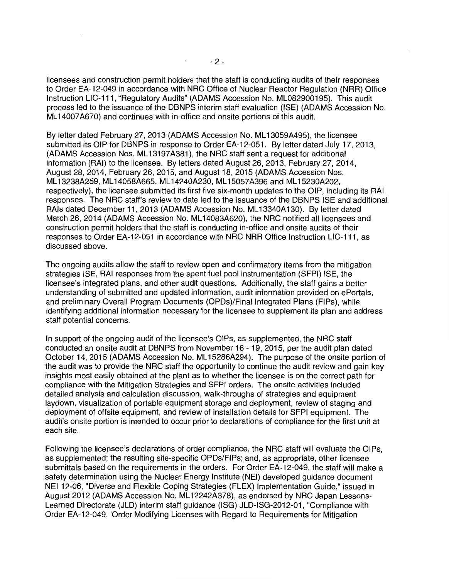licensees and construction permit holders that the staff is conducting audits of their responses to Order EA-12-049 in accordance with NRC Office of Nuclear Reactor Regulation (NRR) Office Instruction LIC-111, "Regulatory Audits" (ADAMS Accession No. ML082900195). This audit process led to the issuance of the DBNPS interim staff evaluation (ISE) (ADAMS Accession No. ML 14007 A670) and continues with in-office and onsite portions of this audit.

By letter dated February 27, 2013 (ADAMS Accession No. ML 13059A495), the licensee submitted its OIP for DBNPS in response to Order EA-12-051. By letter dated July 17, 2013, (ADAMS Accession Nos. ML 13197A381), the NRC staff sent a request for additional information (RAI) to the licensee. By letters dated August 26, 2013, February 27, 2014, August 28, 2014, February 26, 2015, and August 18, 2015 (ADAMS Accession Nos. ML 13238A259, ML 14058A665, ML 14240A230, ML 15057 A396 and ML 15230A202, respectively), the licensee submitted its first five six-month updates to the OIP, including its RAI responses. The NRC staff's review to date led to the issuance of the DBNPS ISE and additional RAls dated December 11, 2013 (ADAMS Accession No. ML 13340A 130). By letter dated March 26, 2014 (ADAMS Accession No. ML 14083A620), the NRC notified all licensees and construction permit holders that the staff is conducting in-office and onsite audits of their responses to Order EA-12-051 in accordance with NRC NRR Office Instruction LIC-111, as discussed above.

The ongoing audits allow the staff to review open and confirmatory items from the mitigation strategies ISE, RAI responses from the spent fuel pool instrumentation (SFPI) ISE, the licensee's integrated plans, and other audit questions. Additionally, the staff gains a better understanding of submitted and updated information, audit information provided on ePortals, and preliminary Overall Program Documents (OPDs)/Final Integrated Plans (FIPs), while identifying additional information necessary for the licensee to supplement its plan and address staff potential concerns.

In support of the ongoing audit of the licensee's OIPs, as supplemented, the NRC staff conducted an onsite audit at DBNPS from November 16 - 19, 2015, per the audit plan dated October 14, 2015 (ADAMS Accession No. ML 15286A294). The purpose of the onsite portion of the audit was to provide the NRC staff the opportunity to continue the audit review and gain key insights most easily obtained at the plant as to whether the licensee is on the correct path for compliance with the Mitigation Strategies and SFPI orders. The onsite activities included detailed analysis and calculation discussion, walk-throughs of strategies and equipment laydown, visualization of portable equipment storage and deployment, review of staging and deployment of offsite equipment, and review of installation details for SFPI equipment. The audit's onsite portion is intended to occur prior to declarations of compliance for the first unit at each site.

Following the licensee's declarations of order compliance, the NRC staff will evaluate the OIPs, as supplemented; the resulting site-specific OPDs/FIPs; and, as appropriate, other licensee submittals based on the requirements in the orders. For Order EA-12-049, the staff will make a safety determination using the Nuclear Energy Institute (NEI) developed guidance document NEI 12-06, "Diverse and Flexible Coping Strategies (FLEX) Implementation Guide," issued in August 2012 (ADAMS Accession No. ML 12242A378), as endorsed by NRC Japan Lessons-Learned Directorate (JLD) interim staff guidance (ISG) JLD-ISG-2012-01, "Compliance with Order EA-12-049, 'Order Modifying Licenses with Regard to Requirements for Mitigation

 $\bar{\mathcal{A}}$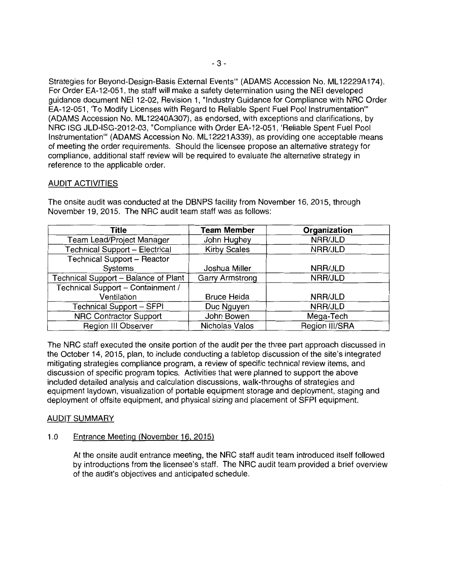Strategies for Beyond-Design-Basis External Events" (ADAMS Accession No. ML12229A174). For Order EA-12-051, the staff will make a safety determination using the NEI developed guidance document NEI 12-02, Revision 1, "Industry Guidance for Compliance with NRG Order EA-12-051, 'To Modify Licenses with Regard to Reliable Spent Fuel Pool Instrumentation"' (ADAMS Accession No. ML 12240A307), as endorsed, with exceptions and clarifications, by NRG ISG JLD-ISG-2012-03, "Compliance with Order EA-12-051, 'Reliable Spent Fuel Pool Instrumentation"' (ADAMS Accession No. ML 12221 A339), as providing one acceptable means of meeting the order requirements. Should the licensee propose an alternative strategy for compliance, additional staff review will be required to evaluate the alternative strategy in reference to the applicable order.

## AUDIT ACTIVITIES

| Title                                | <b>Team Member</b>     | Organization   |
|--------------------------------------|------------------------|----------------|
| Team Lead/Project Manager            | John Hughey            | NRR/JLD        |
| Technical Support - Electrical       | <b>Kirby Scales</b>    | NRR/JLD        |
| Technical Support - Reactor          |                        |                |
| Systems                              | Joshua Miller          | NRR/JLD        |
| Technical Support - Balance of Plant | <b>Garry Armstrong</b> | NRR/JLD        |
| Technical Support - Containment /    |                        |                |
| Ventilation                          | <b>Bruce Heida</b>     | NRR/JLD        |
| <b>Technical Support - SFPI</b>      | Duc Nguyen             | NRR/JLD        |
| <b>NRC Contractor Support</b>        | John Bowen             | Mega-Tech      |
| Region III Observer                  | Nicholas Valos         | Region III/SRA |

The onsite audit was conducted at the DBNPS facility from November 16, 2015, through November 19, 2015. The NRG audit team staff was as follows:

The NRG staff executed the onsite portion of the audit per the three part approach discussed in the October 14, 2015, plan, to include conducting a tabletop discussion of the site's integrated mitigating strategies compliance program, a review of specific technical review items, and discussion of specific program topics. Activities that were planned to support the above included detailed analysis and calculation discussions, walk-throughs of strategies and equipment laydown, visualization of portable equipment storage and deployment, staging and deployment of offsite equipment, and physical sizing and placement of SFPI equipment.

## AUDIT SUMMARY

## 1.0 Entrance Meeting (November 16, 2015)

At the onsite audit entrance meeting, the NRG staff audit team introduced itself followed by introductions from the licensee's staff. The NRG audit team provided a brief overview of the audit's objectives and anticipated schedule.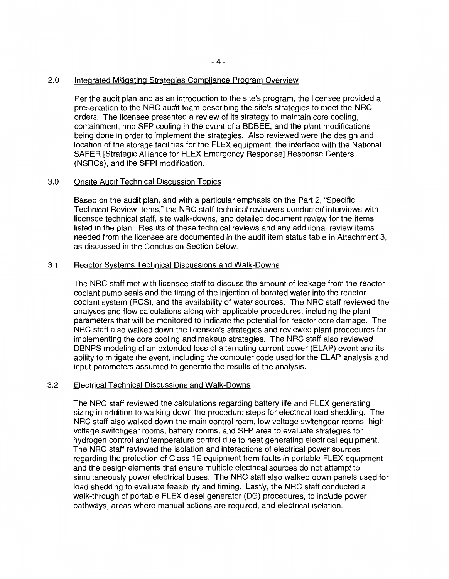#### 2.0 Integrated Mitigating Strategies Compliance Program Overview

Per the audit plan and as an introduction to the site's program, the licensee provided a presentation to the NRC audit team describing the site's strategies to meet the NRC orders. The licensee presented a review of its strategy to maintain core cooling, containment, and SFP cooling in the event of a BDBEE, and the plant modifications being done in order to implement the strategies. Also reviewed were the design and location of the storage facilities for the FLEX equipment, the interface with the National SAFER [Strategic Alliance for FLEX Emergency Response] Response Centers (NSRCs), and the SFPI modification.

#### 3.0 Onsite Audit Technical Discussion Topics

Based on the audit plan, and with a particular emphasis on the Part 2, "Specific Technical Review Items," the NRC staff technical reviewers conducted interviews with licensee technical staff, site walk-downs, and detailed document review for the items listed in the plan. Results of these technical reviews and any additional review items needed from the licensee are documented in the audit item status table in Attachment 3, as discussed in the Conclusion Section below.

#### 3.1 Reactor Systems Technical Discussions and Walk-Downs

The NRC staff met with licensee staff to discuss the amount of leakage from the reactor coolant pump seals and the timing of the injection of borated water into the reactor coolant system (RCS), and the availability of water sources. The NRC staff reviewed the analyses and flow calculations along with applicable procedures, including the plant parameters that will be monitored to indicate the potential for reactor core damage. The NRC staff also walked down the licensee's strategies and reviewed plant procedures for implementing the core cooling and makeup strategies. The NRC staff also reviewed DBNPS modeling of an extended loss of alternating current power (ELAP) event and its ability to mitigate the event, including the computer code used for the ELAP analysis and input parameters assumed to generate the results of the analysis.

#### 3.2 Electrical Technical Discussions and Walk-Downs

The NRC staff reviewed the calculations regarding battery life and FLEX generating sizing in addition to walking down the procedure steps for electrical load shedding. The NRC staff also walked down the main control room, low voltage switchgear rooms, high voltage switchgear rooms, battery rooms, and SFP area to evaluate strategies for hydrogen control and temperature control due to heat generating electrical equipment. The NRC staff reviewed the isolation and interactions of electrical power sources regarding the protection of Class 1 E equipment from faults in portable FLEX equipment and the design elements that ensure multiple electrical sources do not attempt to simultaneously power electrical buses. The NRC staff also walked down panels used for load shedding to evaluate feasibility and timing. Lastly, the NRC staff conducted a walk-through of portable FLEX diesel generator (DG) procedures, to include power pathways, areas where manual actions are required, and electrical isolation.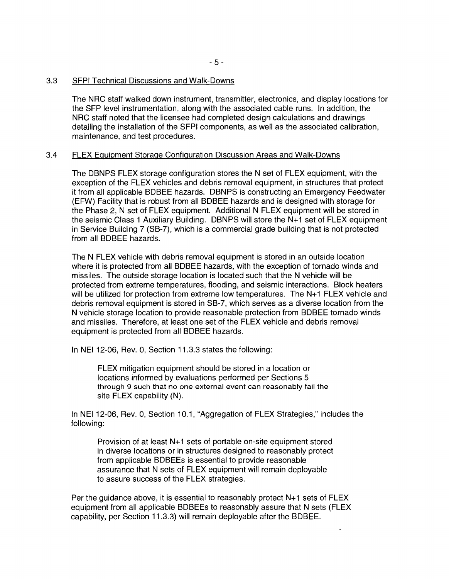The NRC staff walked down instrument, transmitter, electronics, and display locations for the SFP level instrumentation, along with the associated cable runs. In addition, the NRC staff noted that the licensee had completed design calculations and drawings detailing the installation of the SFPI components, as well as the associated calibration, maintenance, and test procedures.

## 3.4 FLEX Equipment Storage Configuration Discussion Areas and Walk-Downs

The DBNPS FLEX storage configuration stores the N set of FLEX equipment, with the exception of the FLEX vehicles and debris removal equipment, in structures that protect it from all applicable BDBEE hazards. DBNPS is constructing an Emergency Feedwater (EFW) Facility that is robust from all BDBEE hazards and is designed with storage for the Phase 2, N set of FLEX equipment. Additional N FLEX equipment will be stored in the seismic Class 1 Auxiliary Building. DBNPS will store the N+1 set of FLEX equipment in Service Building 7 (SB-7), which is a commercial grade building that is not protected from all BDBEE hazards.

The N FLEX vehicle with debris removal equipment is stored in an outside location where it is protected from all BDBEE hazards, with the exception of tornado winds and missiles. The outside storage location is located such that the N vehicle will be protected from extreme temperatures, flooding, and seismic interactions. Block heaters will be utilized for protection from extreme low temperatures. The N+1 FLEX vehicle and debris removal equipment is stored in SB-7, which serves as a diverse location from the N vehicle storage location to provide reasonable protection from BDBEE tornado winds and missiles. Therefore, at least one set of the FLEX vehicle and debris removal equipment is protected from all BDBEE hazards.

In NEI 12-06, Rev. 0, Section 11.3.3 states the following:

FLEX mitigation equipment should be stored in a location or locations informed by evaluations performed per Sections 5 through 9 such that no one external event can reasonably fail the site FLEX capability (N).

In NEI 12-06, Rev. 0, Section 10.1, "Aggregation of FLEX Strategies," includes the following:

Provision of at least N+1 sets of portable on-site equipment stored in diverse locations or in structures designed to reasonably protect from applicable BDBEEs is essential to provide reasonable assurance that N sets of FLEX equipment will remain deployable to assure success of the FLEX strategies.

Per the guidance above, it is essential to reasonably protect N+ 1 sets of FLEX equipment from all applicable BDBEEs to reasonably assure that N sets (FLEX capability, per Section 11.3.3) will remain deployable after the BDBEE.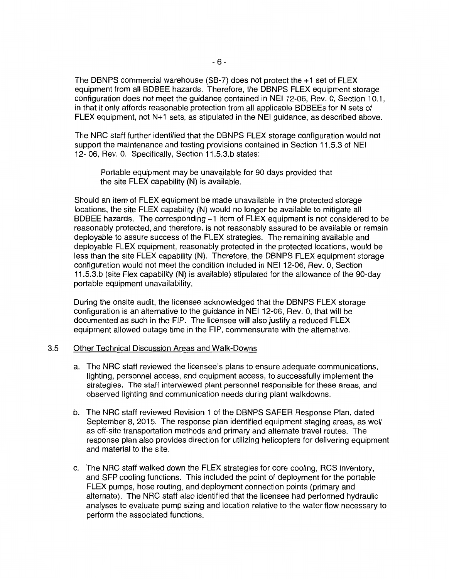The DBNPS commercial warehouse (SB-7) does not protect the +1 set of FLEX equipment from all BDBEE hazards. Therefore, the DBNPS FLEX equipment storage configuration does not meet the guidance contained in NEI 12-06, Rev. 0, Section 10.1, in that it only affords reasonable protection from all applicable BDBEEs for N sets of FLEX equipment, not  $N+1$  sets, as stipulated in the NEI guidance, as described above.

The NRG staff further identified that the DBNPS FLEX storage configuration would not support the maintenance and testing provisions contained in Section 11.5.3 of NEI 12- 06, Rev. 0. Specifically, Section 11.5.3.b states:

Portable equipment may be unavailable for 90 days provided that the site FLEX capability (N) is available.

Should an item of FLEX equipment be made unavailable in the protected storage locations, the site FLEX capability (N) would no longer be available to mitigate all BDBEE hazards. The corresponding + 1 item of FLEX equipment is not considered to be reasonably protected, and therefore, is not reasonably assured to be available or remain deployable to assure success of the FLEX strategies. The remaining available and deployable FLEX equipment, reasonably protected in the protected locations, would be less than the site FLEX capability (N). Therefore, the DBNPS FLEX equipment storage configuration would not meet the condition included in NEI 12-06, Rev. 0, Section 11.5.3.b (site Flex capability (N) is available) stipulated for the allowance of the 90-day portable equipment unavailability.

During the onsite audit, the licensee acknowledged that the DBNPS FLEX storage configuration is an alternative to the guidance in NEI 12-06, Rev. 0, that will be documented as such in the FIP. The licensee will also justify a reduced FLEX equipment allowed outage time in the FIP, commensurate with the alternative.

#### 3.5 Other Technical Discussion Areas and Walk-Downs

- a. The NRG staff reviewed the licensee's plans to ensure adequate communications, lighting, personnel access, and equipment access, to successfully implement the strategies. The staff interviewed plant personnel responsible for these areas, and observed lighting and communication needs during plant walkdowns.
- b. The NRG staff reviewed Revision 1 of the DBNPS SAFER Response Plan, dated September 8, 2015. The response plan identified equipment staging areas, as well as off-site transportation methods and primary and alternate travel routes. The response plan also provides direction for utilizing helicopters for delivering equipment and material to the site.
- c. The NRG staff walked down the FLEX strategies for core cooling, RCS inventory, and SFP cooling functions. This included the point of deployment for the portable FLEX pumps, hose routing, and deployment connection points (primary and alternate). The NRG staff also identified that the licensee had performed hydraulic analyses to evaluate pump sizing and location relative to the water flow necessary to perform the associated functions.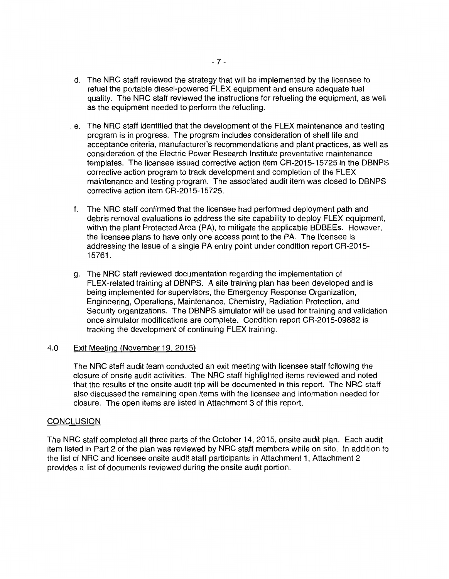- d. The NRC staff reviewed the strategy that will be implemented by the licensee to refuel the portable diesel-powered FLEX equipment and ensure adequate fuel quality. The NRC staff reviewed the instructions for refueling the equipment, as well as the equipment needed to perform the refueling.
- . e. The NRC staff identified that the development of the FLEX maintenance and testing program is in progress. The program includes consideration of shelf life and acceptance criteria, manufacturer's recommendations and plant practices, as well as consideration of the Electric Power Research Institute preventative maintenance templates. The licensee issued corrective action item CR-2015-15725 in the DBNPS corrective action program to track development and completion of the FLEX maintenance and testing program. The associated audit item was closed to DBNPS corrective action item CR-2015-15725.
- f. The NRC staff confirmed that the licensee had performed deployment path and debris removal evaluations to address the site capability to deploy FLEX equipment, within the plant Protected Area (PA), to mitigate the applicable BDBEEs. However, the licensee plans to have only one access point to the PA. The licensee is addressing the issue of a single PA entry point under condition report CR-2015- 15761.
- g. The NRC staff reviewed documentation regarding the implementation of FLEX-related training at DBNPS. A site training plan has been developed and is being implemented for supervisors, the Emergency Response Organization, Engineering, Operations, Maintenance, Chemistry, Radiation Protection, and Security organizations. The DBNPS simulator will be used for training and validation once simulator modifications are complete. Condition report CR-2015-09882 is tracking the development of continuing FLEX training.

#### 4.0 Exit Meeting (November 19. 2015)

The NRC staff audit team conducted an exit meeting with licensee staff following the closure of onsite audit activities. The NRC staff highlighted items reviewed and noted that the results of the onsite audit trip will be documented in this report. The NRC staff also discussed the remaining open items with the licensee and information needed for closure. The open items are listed in Attachment 3 of this report.

## **CONCLUSION**

The NRC staff completed all three parts of the October 14, 2015, onsite audit plan. Each audit item listed in Part 2 of the plan was reviewed by NRC staff members while on site. In addition to the list of NRC and licensee onsite audit staff participants in Attachment 1, Attachment 2 provides a list of documents reviewed during the onsite audit portion.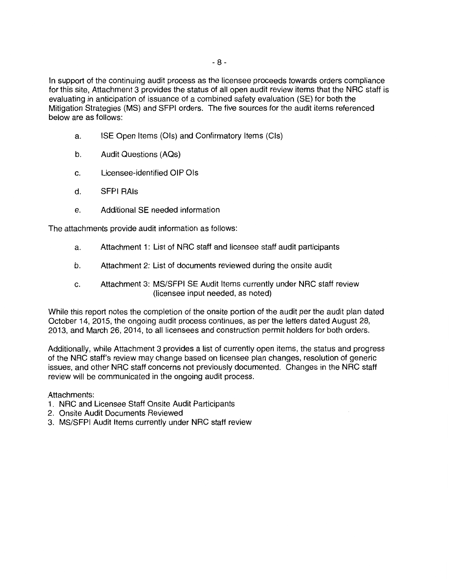In support of the continuing audit process as the licensee proceeds towards orders compliance for this site, Attachment 3 provides the status of all open audit review items that the NRC staff is evaluating in anticipation of issuance of a combined safety evaluation (SE) for both the Mitigation Strategies (MS) and SFPI orders. The five sources for the audit items referenced below are as follows:

- a. ISE Open Items (Ols) and Confirmatory Items (Cls)
- b. Audit Questions (AQs)
- c. Licensee-identified OIP Ols
- d. SFPI RAls
- e. Additional SE needed information

The attachments provide audit information as follows:

- a. Attachment 1: List of NRC staff and licensee staff audit participants
- b. Attachment 2: List of documents reviewed during the onsite audit
- c. Attachment 3: MS/SFPI SE Audit Items currently under NRC staff review (licensee input needed, as noted)

While this report notes the completion of the onsite portion of the audit per the audit plan dated October 14, 2015, the ongoing audit process continues, as per the letters dated August 28, 2013, and March 26, 2014, to all licensees and construction permit holders for both orders.

Additionally, while Attachment 3 provides a list of currently open items, the status and progress of the NRC staff's review may change based on licensee plan changes, resolution of generic issues, and other NRC staff concerns not previously documented. Changes in the NRC staff review will be communicated in the ongoing audit process.

Attachments:

- 1. NRC and Licensee Staff Onsite Audit Participants
- 2. Onsite Audit Documents Reviewed
- 3. MS/SFPI Audit Items currently under NRC staff review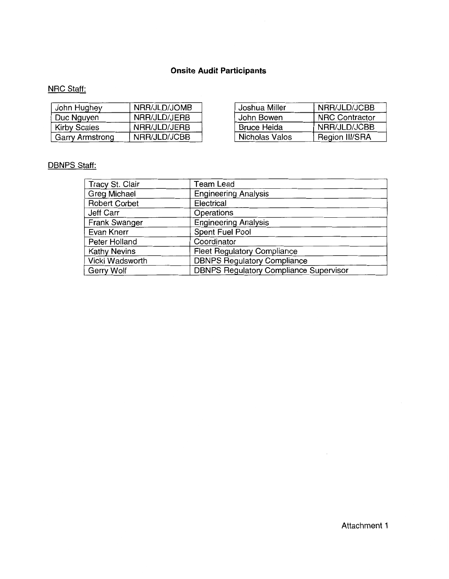# **Onsite Audit Participants**

# NRC Staff:

| John Hughey         | NRR/JLD/JOMB |
|---------------------|--------------|
| Duc Nguyen          | NRR/JLD/JERB |
| <b>Kirby Scales</b> | NRR/JLD/JERB |
| Garry Armstrong     | NRR/JLD/JCBB |

| NRR/JLD/JOMB | Joshua Miller      | NRR/JLD/JCBB          |
|--------------|--------------------|-----------------------|
| NRR/JLD/JERB | John Bowen         | <b>NRC Contractor</b> |
| NRR/JLD/JERB | <b>Bruce Heida</b> | NRR/JLD/JCBB          |
| NRR/JLD/JCBB | Nicholas Valos     | Region III/SRA        |

# DBNPS Staff:

| Tracy St. Clair      | <b>Team Lead</b>                              |
|----------------------|-----------------------------------------------|
| Greg Michael         | <b>Engineering Analysis</b>                   |
| <b>Robert Corbet</b> | Electrical                                    |
| Jeff Carr            | Operations                                    |
| <b>Frank Swanger</b> | <b>Engineering Analysis</b>                   |
| Evan Knerr           | Spent Fuel Pool                               |
| Peter Holland        | Coordinator                                   |
| <b>Kathy Nevins</b>  | <b>Fleet Regulatory Compliance</b>            |
| Vicki Wadsworth      | <b>DBNPS Regulatory Compliance</b>            |
| <b>Gerry Wolf</b>    | <b>DBNPS Regulatory Compliance Supervisor</b> |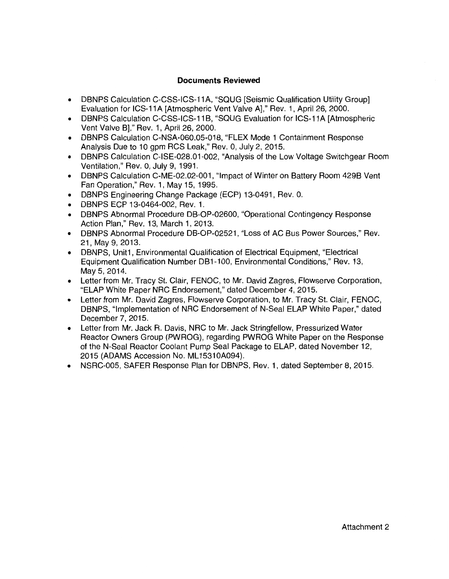## **Documents Reviewed**

- DBNPS Calculation C-CSS-ICS-11A, "SQUG [Seismic Qualification Utility Group] Evaluation for ICS-11A [Atmospheric Vent Valve A],'' Rev. 1, April 26, 2000.
- DBNPS Calculation C-CSS-ICS-11B, "SQUG Evaluation for ICS-11A [Atmospheric] Vent Valve B]," Rev. 1, April 26, 2000.
- DBNPS Calculation C-NSA-060.05-018, "FLEX Mode 1 Containment Response Analysis Due to 10 gpm RCS Leak," Rev. 0, July 2, 2015.
- DBNPS Calculation C-ISE-028.01-002, "Analysis of the Low Voltage Switchgear Room Ventilation,'' Rev. O, July 9, 1991.
- DBNPS Calculation C-ME-02.02-001, "Impact of Winter on Battery Room 429B Vent Fan Operation,'' Rev. 1, May 15, 1995.
- DBNPS Engineering Change Package (ECP) 13-0491, Rev. 0.
- DBNPS ECP 13-0464-002, Rev. 1.
- DBNPS Abnormal Procedure DB-OP-02600, "Operational Contingency Response Action Plan," Rev. 13, March 1, 2013.
- DBNPS Abnormal Procedure DB-OP-02521, "Loss of AC Bus Power Sources,'' Rev. 21, May 9, 2013.
- DBNPS, Unit1, Environmental Qualification of Electrical Equipment, "Electrical Equipment Qualification Number DB 1-100, Environmental Conditions," Rev. 13, May 5, 2014.
- Letter from Mr. Tracy St. Clair, FENOC, to Mr. David Zagres, Flowserve Corporation, "ELAP White Paper NRC Endorsement," dated December 4, 2015.
- Letter from Mr. David Zagres, Flowserve Corporation, to Mr. Tracy St. Clair, FENOC, DBNPS, "Implementation of NRC Endorsement of N-Seal ELAP White Paper," dated December 7, 2015.
- Letter from Mr. Jack R. Davis, NRC to Mr. Jack Stringfellow, Pressurized Water Reactor Owners Group (PWROG), regarding PWROG White Paper on the Response of the N-Seal Reactor Coolant Pump Seal Package to ELAP, dated November 12, 2015 (ADAMS Accession No. ML15310A094).
- NSRC-005, SAFER Response Plan for DBNPS, Rev. 1, dated September 8, 2015.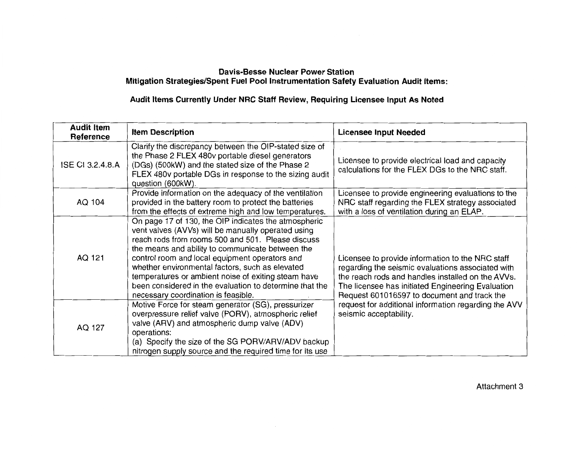## **Davis-Besse Nuclear Power Station Mitigation Strategies/Spent Fuel Pool Instrumentation Safety Evaluation Audit Items:**

# **Audit Items Currently Under NRC Staff Review, Requiring Licensee Input As Noted**

| <b>Audit Item</b><br>Reference | <b>Item Description</b>                                                                                                                                                                                                                                                                                                                                                                                                                                                           | <b>Licensee Input Needed</b>                                                                                                                                                                                                                                   |
|--------------------------------|-----------------------------------------------------------------------------------------------------------------------------------------------------------------------------------------------------------------------------------------------------------------------------------------------------------------------------------------------------------------------------------------------------------------------------------------------------------------------------------|----------------------------------------------------------------------------------------------------------------------------------------------------------------------------------------------------------------------------------------------------------------|
| ISE CI 3.2.4.8.A               | Clarify the discrepancy between the OIP-stated size of<br>the Phase 2 FLEX 480v portable diesel generators<br>(DGs) (500kW) and the stated size of the Phase 2<br>FLEX 480v portable DGs in response to the sizing audit<br>question (600kW).                                                                                                                                                                                                                                     | Licensee to provide electrical load and capacity<br>calculations for the FLEX DGs to the NRC staff.                                                                                                                                                            |
| AQ 104                         | Provide information on the adequacy of the ventilation<br>provided in the battery room to protect the batteries<br>from the effects of extreme high and low temperatures.                                                                                                                                                                                                                                                                                                         | Licensee to provide engineering evaluations to the<br>NRC staff regarding the FLEX strategy associated<br>with a loss of ventilation during an ELAP.                                                                                                           |
| AQ 121                         | On page 17 of 130, the OIP indicates the atmospheric<br>vent valves (AVVs) will be manually operated using<br>reach rods from rooms 500 and 501. Please discuss<br>the means and ability to communicate between the<br>control room and local equipment operators and<br>whether environmental factors, such as elevated<br>temperatures or ambient noise of exiting steam have<br>been considered in the evaluation to determine that the<br>necessary coordination is feasible. | Licensee to provide information to the NRC staff<br>regarding the seismic evaluations associated with<br>the reach rods and handles installed on the AVVs.<br>The licensee has initiated Engineering Evaluation<br>Request 601016597 to document and track the |
| AQ 127                         | Motive Force for steam generator (SG), pressurizer<br>overpressure relief valve (PORV), atmospheric relief<br>valve (ARV) and atmospheric dump valve (ADV)<br>operations:<br>(a) Specify the size of the SG PORV/ARV/ADV backup<br>nitrogen supply source and the required time for its use                                                                                                                                                                                       | request for additional information regarding the AVV<br>seismic acceptability.                                                                                                                                                                                 |

Attachment 3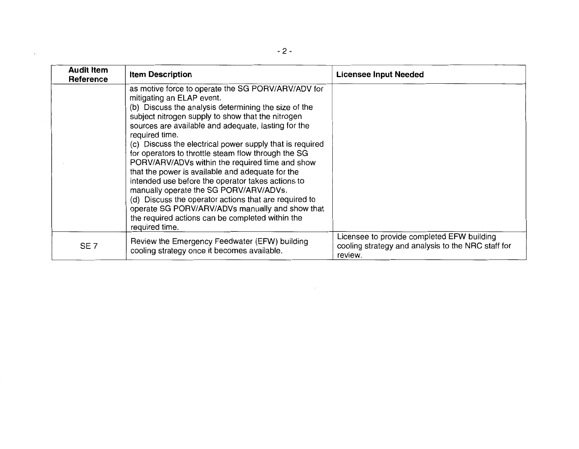| <b>Audit Item</b><br>Reference | <b>Item Description</b>                                                                                                                                                                                                                                                                                                                                                                                                                                                                                                                                                                                                                                                                                                                                                          | <b>Licensee Input Needed</b>                                                                                |
|--------------------------------|----------------------------------------------------------------------------------------------------------------------------------------------------------------------------------------------------------------------------------------------------------------------------------------------------------------------------------------------------------------------------------------------------------------------------------------------------------------------------------------------------------------------------------------------------------------------------------------------------------------------------------------------------------------------------------------------------------------------------------------------------------------------------------|-------------------------------------------------------------------------------------------------------------|
|                                | as motive force to operate the SG PORV/ARV/ADV for<br>mitigating an ELAP event.<br>(b) Discuss the analysis determining the size of the<br>subject nitrogen supply to show that the nitrogen<br>sources are available and adequate, lasting for the<br>required time.<br>(c) Discuss the electrical power supply that is required<br>for operators to throttle steam flow through the SG<br>PORV/ARV/ADVs within the required time and show<br>that the power is available and adequate for the<br>intended use before the operator takes actions to<br>manually operate the SG PORV/ARV/ADVs.<br>(d) Discuss the operator actions that are required to<br>operate SG PORV/ARV/ADVs manually and show that<br>the required actions can be completed within the<br>required time. |                                                                                                             |
| SE <sub>7</sub>                | Review the Emergency Feedwater (EFW) building<br>cooling strategy once it becomes available.                                                                                                                                                                                                                                                                                                                                                                                                                                                                                                                                                                                                                                                                                     | Licensee to provide completed EFW building<br>cooling strategy and analysis to the NRC staff for<br>review. |

 $\sim 10^{11}$  km s  $^{-1}$ 

 $\ddot{\phantom{a}}$